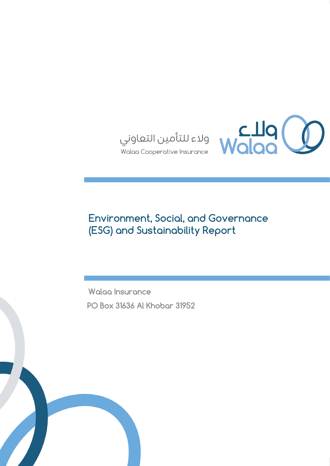

# **Environment, Social, and Governance (ESG) and Sustainability Report**

**Walaa Insurance PO Box 31636 Al Khobar 31952**

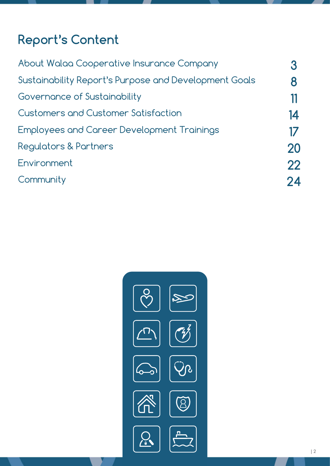# **Report's Content**

| About Walaa Cooperative Insurance Company             |    |
|-------------------------------------------------------|----|
| Sustainability Report's Purpose and Development Goals |    |
| Governance of Sustainability                          |    |
| <b>Customers and Customer Satisfaction</b>            | 14 |
| Employees and Career Development Trainings            |    |
| <b>Regulators &amp; Partners</b>                      | 20 |
| Environment                                           | 22 |
| Community                                             | 24 |
|                                                       |    |

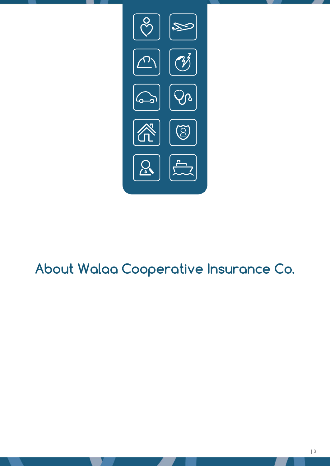

# **About Walaa Cooperative Insurance Co.**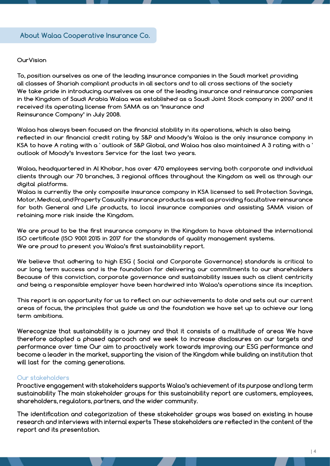#### **OurVision**

**To, position ourselves as one of the leading insurance companies in the Saudi market providing all classes of Shariah compliant products in all sectors and to all cross sections of the society We take pride in introducing ourselves as one of the leading insurance and reinsurance companies in the Kingdom of Saudi Arabia Walaa was established as a Saudi Joint Stock company in 2007 and it received its operating license from SAMA as an 'Insurance and Reinsurance Company' in July 2008.**

**Walaa has always been focused on the financial stability in its operations, which is also being reflected in our financial credit rating by S&P and Moody's Walaa is the only insurance company in KSA to have A rating with a ' outlook of S&P Global, and Walaa has also maintained A 3 rating with a ' outlook of Moody's Investors Service for the last two years.**

**Walaa, headquartered in Al Khobar, has over 470 employees serving both corporate and individual clients through our 70 branches, 3 regional offices throughout the Kingdom as well as through our digital platforms.**

**Walaa is currently the only composite insurance company in KSA licensed to sell Protection Savings, Motor, Medical, and Property Casualty insurance products as well as providing facultative reinsurance for both General and Life products, to local insurance companies and assisting SAMA vision of retaining more risk inside the Kingdom.**

**We are proud to be the first insurance company in the Kingdom to have obtained the international ISO certificate (ISO 9001 2015 in 2017 for the standards of quality management systems. We are proud to present you Walaa's first sustainability report.**

**We believe that adhering to high ESG ( Social and Corporate Governance) standards is critical to our long term success and is the foundation for delivering our commitments to our shareholders Because of this conviction, corporate governance and sustainability issues such as client centricity and being a responsible employer have been hardwired into Walaa's operations since its inception.**

**This report is an opportunity for us to reflect on our achievements to date and sets out our current areas of focus, the principles that guide us and the foundation we have set up to achieve our long term ambitions.**

**Werecognize that sustainability is a journey and that it consists of a multitude of areas We have therefore adopted a phased approach and we seek to increase disclosures on our targets and performance over time Our aim to proactively work towards improving our ESG performance and become a leader in the market, supporting the vision of the Kingdom while building an institution that will last for the coming generations.**

#### **Our stakeholders**

**Proactive engagement with stakeholders supports Walaa's achievement of its purpose and long term sustainability The main stakeholder groups for this sustainability report are customers, employees, shareholders, regulators, partners, and the wider community.**

**The identification and categorization of these stakeholder groups was based on existing in house research and interviews with internal experts These stakeholders are reflected in the content of the report and its presentation.**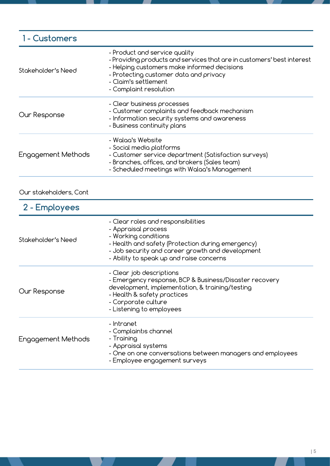| 1 - Customers      |                                                                                                                                                                                                                                                    |
|--------------------|----------------------------------------------------------------------------------------------------------------------------------------------------------------------------------------------------------------------------------------------------|
| Stakeholder's Need | - Product and service quality<br>- Providing products and services that are in customers' best interest<br>- Helping customers make informed decisions<br>- Protecting customer data and privacy<br>- Claim's settlement<br>- Complaint resolution |
| Our Response       | - Clear business processes<br>- Customer complaints and feedback mechanism<br>- Information security systems and awareness<br>- Business continuity plans                                                                                          |
| Engagement Methods | - Walaa's Website<br>- Social media platforms<br>- Customer service department (Satisfaction surveys)<br>- Branches, offices, and brokers (Sales team)<br>- Scheduled meetings with Walaa's Management                                             |

# Our stakeholders, Cont

| 2 - Employees      |                                                                                                                                                                                                                                        |
|--------------------|----------------------------------------------------------------------------------------------------------------------------------------------------------------------------------------------------------------------------------------|
| Stakeholder's Need | - Clear roles and responsibilities<br>- Appraisal process<br>- Working conditions<br>- Health and safety (Protection during emergency)<br>- Job security and career growth and development<br>- Ability to speak up and raise concerns |
| Our Response       | - Clear job descriptions<br>- Emergency response, BCP & Business/Disaster recovery<br>development, implementation, & training/testing<br>- Health & safety practices<br>- Corporate culture<br>- Listening to employees                |
| Engagement Methods | - Intranet<br>- Complaint)s channel<br>- Training<br>- Appraisal systems<br>- One on one conversations between managers and employees<br>- Employee engagement surveys                                                                 |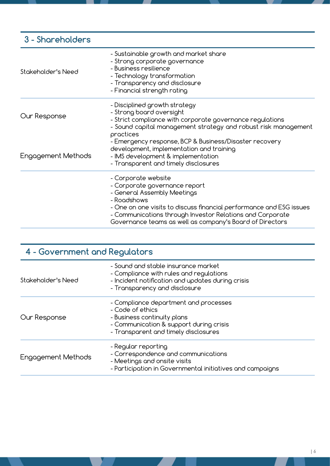### - Sustainable growth and market share - Strong corporate governance - Business resilience - Technology transformation - Transparency and disclosure - Financial strength rating - Disciplined growth strategy - Strong board oversight - Strict compliance with corporate governance regulations - Sound capital management strategy and robust risk management practices - Emergency response, BCP & Business/Disaster recovery development, implementation and training - IMS development & implementation - Transparent and timely disclosures - Corporate website - Corporate governance report - General Assembly Meetings - Roadshows - One on one visits to discuss financial performance and ESG issues - Communications through Investor Relations and Corporate Stakeholder's Need Our Response Engagement Methods **3 - Shareholders**

Governance teams as well as company's Board of Directors

# - Sound and stable insurance market **4 - Government and Regulators**

| Stakeholder's Need | - Compliance with rules and regulations<br>- Incident notification and updates during crisis<br>- Transparency and disclosure                                               |
|--------------------|-----------------------------------------------------------------------------------------------------------------------------------------------------------------------------|
| Our Response       | - Compliance department and processes<br>- Code of ethics<br>- Business continuity plans<br>- Communication & support during crisis<br>- Transparent and timely disclosures |
| Engagement Methods | - Regular reporting<br>- Correspondence and communications<br>- Meetings and onsite visits<br>- Participation in Governmental initiatives and campaigns                     |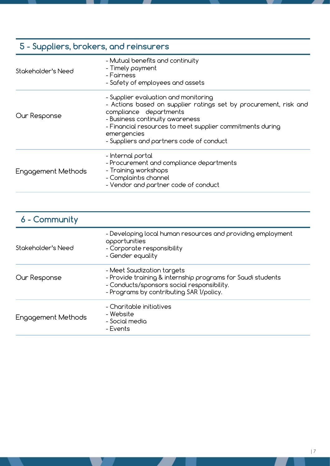# **5 - Suppliers, brokers, and reinsurers**

| Stakeholder's Need | - Mutual benefits and continuity<br>- Timely payment<br>- Fairness<br>- Safety of employees and assets                                                                                                                                                                                        |  |
|--------------------|-----------------------------------------------------------------------------------------------------------------------------------------------------------------------------------------------------------------------------------------------------------------------------------------------|--|
| Our Response       | - Supplier evaluation and monitoring<br>- Actions based on supplier ratings set by procurement, risk and<br>compliance departments<br>- Business continuity awareness<br>- Financial resources to meet supplier commitments during<br>emergencies<br>- Suppliers and partners code of conduct |  |
| Engagement Methods | - Internal portal<br>- Procurement and compliance departments<br>- Training workshops<br>- Complaint)s channel<br>- Vendor and partner code of conduct                                                                                                                                        |  |

| 6 - Community      |                                                                                                                                                                                     |
|--------------------|-------------------------------------------------------------------------------------------------------------------------------------------------------------------------------------|
| Stakeholder's Need | - Developing local human resources and providing employment<br>opportunities<br>- Corporate responsibility<br>- Gender equality                                                     |
| Our Response       | - Meet Saudization targets<br>- Provide training & internship programs for Saudi students<br>- Conducts/sponsors social responsibility.<br>- Programs by contributing SAR 1/policy. |
| Engagement Methods | - Charitable initiatives<br>- Website<br>- Social media<br>- Events                                                                                                                 |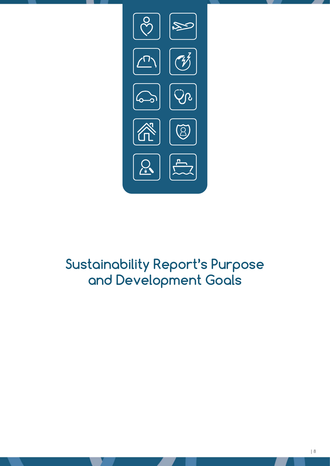

# **Sustainability Report's Purpose and Development Goals**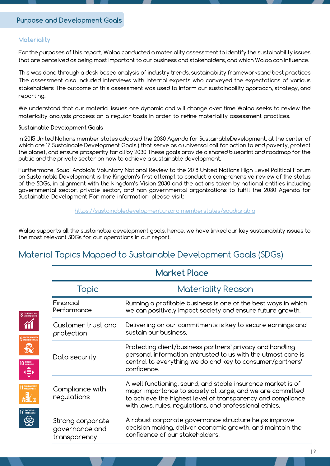### **Materiality**

 $\begin{picture}(160,10) \put(0,0){\line(1,0){100}} \put(10,0){\line(1,0){100}} \put(10,0){\line(1,0){100}} \put(10,0){\line(1,0){100}} \put(10,0){\line(1,0){100}} \put(10,0){\line(1,0){100}} \put(10,0){\line(1,0){100}} \put(10,0){\line(1,0){100}} \put(10,0){\line(1,0){100}} \put(10,0){\line(1,0){100}} \put(10,0){\line(1,0){100}}$ 

For the purposes of this report, Walaa conducted a materiality assessment to identify the sustainability issues that are perceived as being most important to our business and stakeholders, and which Walaa can influence.

This was done through a desk based analysis of industry trends, sustainability frameworksand best practices The assessment also included interviews with internal experts who conveyed the expectations of various stakeholders The outcome of this assessment was used to inform our sustainability approach, strategy, and reporting.

We understand that our material issues are dynamic and will change over time Walaa seeks to review the materiality analysis process on a regular basis in order to refine materiality assessment practices.

#### **Sustainable Development Goals**

In 2015 United Nations member states adopted the 2030 Agenda for SustainableDevelopment, at the center of which are 17 Sustainable Development Goals ( that serve as a universal call for action to end poverty, protect the planet, and ensure prosperity for all by 2030 These goals provide a shared blueprint and roadmap for the public and the private sector on how to achieve a sustainable development.

Furthermore, Saudi Arabia's Voluntary National Review to the 2018 United Nations High Level Political Forum on Sustainable Development is the Kingdom's first attempt to conduct a comprehensive review of the status of the SDGs, in alignment with the kingdom's Vision 2030 and the actions taken by national entities including governmental sector, private sector, and non governmental organizations to fulfill the 2030 Agenda for Sustainable Development For more information, please visit:

#### [https://sustainabledevelopment.un.org memberstates/saudiarabia](http://https://sustainabledevelopment.un.org memberstates/saudiarabia
)

Walaa supports all the sustainable development goals, hence, we have linked our key sustainability issues to the most relevant SDGs for our operations in our report.

# Material Topics Mapped to Sustainable Development Goals (SDGs)

| Topic                                              | <b>Materiality Reason</b>                                                                                                                                                                                                                            |
|----------------------------------------------------|------------------------------------------------------------------------------------------------------------------------------------------------------------------------------------------------------------------------------------------------------|
| Financial<br>Performance                           | Running a profitable business is one of the best ways in which<br>we can positively impact society and ensure future growth.                                                                                                                         |
| Customer trust and<br>protection                   | Delivering on our commitments is key to secure earnings and<br>sustain our business.                                                                                                                                                                 |
| Data security                                      | Protecting client/business partners' privacy and handling<br>personal information entrusted to us with the utmost care is<br>central to everything we do and key to consumer/partners'<br>confidence.                                                |
| Compliance with<br>regulations                     | A well functioning, sound, and stable insurance market is of<br>major importance to society at large, and we are committed<br>to achieve the highest level of transparency and compliance<br>with laws, rules, regulations, and professional ethics. |
| Strong corporate<br>governance and<br>transparency | A robust corporate governance structure helps improve<br>decision making, deliver economic growth, and maintain the<br>confidence of our stakeholders.                                                                                               |

**Market Place**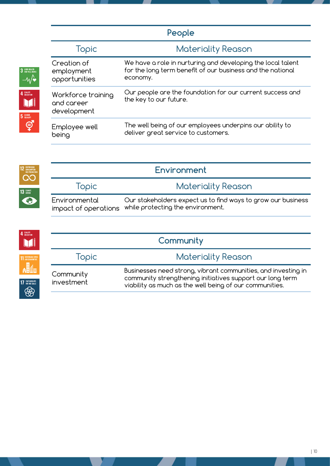|                                                 | People                                                                                                                                |
|-------------------------------------------------|---------------------------------------------------------------------------------------------------------------------------------------|
| Topic                                           | <b>Materiality Reason</b>                                                                                                             |
| Creation of<br>employment<br>opportunities      | We have a role in nurturing and developing the local talent<br>for the long term benefit of our business and the national<br>economy. |
| Workforce training<br>and career<br>development | Our people are the foundation for our current success and<br>the key to our future.                                                   |
| Employee well<br>being                          | The well being of our employees underpins our ability to<br>deliver great service to customers.                                       |

 $\begin{array}{c} {\bf3} \text{ }^{\text{SOOD HEATH}} \\ {\bf3} \text{ }^{\text{SOOD HEATH}} \\ {\bf-0} \end{array}$ 

 $\begin{array}{c}\n 4 \text{ quantum}\\ \hline\n 600 \text{ATTO} \text{A}\n \end{array}$ 

 $\begin{matrix} 5 \text{ GENDER} \\ \text{FQUALITY} \\ \text{F} \end{matrix}$ 

| <b>12</b> ESPONSIBLE<br>AND PRODUCTION | Environment                           |                                                                                                   |  |
|----------------------------------------|---------------------------------------|---------------------------------------------------------------------------------------------------|--|
| 13 GLIMATE                             | Topic                                 | <b>Materiality Reason</b>                                                                         |  |
| $\bigodot$                             | Environmental<br>impact of operations | Our stakeholders expect us to find ways to grow our business<br>while protecting the environment. |  |

| 4 QUALITY<br>Mi                     | Community               |                                                                                                                                                                                       |  |  |  |
|-------------------------------------|-------------------------|---------------------------------------------------------------------------------------------------------------------------------------------------------------------------------------|--|--|--|
| <b>11 SUSTAINABLE CITIES</b>        | Topic                   | <b>Materiality Reason</b>                                                                                                                                                             |  |  |  |
| ▞▓▓<br><b>17</b> PARTNERSHIPS<br>88 | Community<br>investment | Businesses need strong, vibrant communities, and investing in<br>community strengthening initiatives support our long term<br>viability as much as the well being of our communities. |  |  |  |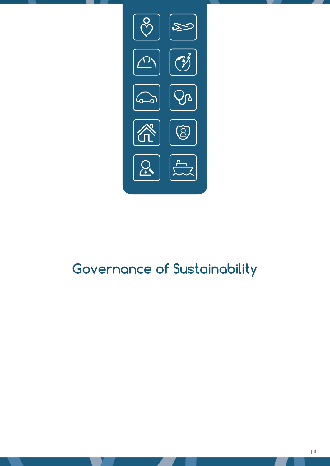

# **Governance of Sustainability**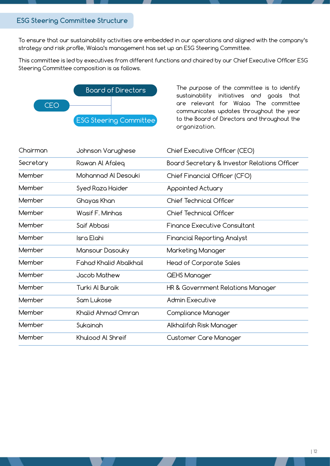## **ESG Steering Committee Structure**

To ensure that our sustainability activities are embedded in our operations and aligned with the company's strategy and risk profile, Walaa's management has set up an ESG Steering Committee.

This committee is led by executives from different functions and chaired by our Chief Executive Officer ESG Steering Committee composition is as follows.



The purpose of the committee is to identify sustainability initiatives and goals that are relevant for Walaa The committee communicates updates throughout the year to the Board of Directors and throughout the organization.

| Chairman  | Johnson Varughese             | Chief Executive Officer (CEO)                |
|-----------|-------------------------------|----------------------------------------------|
| Secretary | Rawan Al Afaleq               | Board Secretary & Investor Relations Officer |
| Member    | Mohannad Al Desouki           | Chief Financial Officer (CFO)                |
| Member    | Syed Raza Haider              | Appointed Actuary                            |
| Member    | Ghayas Khan                   | <b>Chief Technical Officer</b>               |
| Member    | Wasif F. Minhas               | <b>Chief Technical Officer</b>               |
| Member    | Saif Abbasi                   | <b>Finance Executive Consultant</b>          |
| Member    | Isra Elahi                    | <b>Financial Reporting Analyst</b>           |
| Member    | Mansour Dasouky               | Marketing Manager                            |
| Member    | <b>Fahad Khalid Abalkhail</b> | Head of Corporate Sales                      |
| Member    | Jacob Mathew                  | QEHS Manager                                 |
| Member    | Turki Al Buraik               | HR & Government Relations Manager            |
| Member    | Sam Lukose                    | <b>Admin Executive</b>                       |
| Member    | Khalid Ahmad Omran            | Compliance Manager                           |
| Member    | Sukainah                      | Alkhalifah Risk Manager                      |
| Member    | Khulood Al Shreif             | Customer Care Manager                        |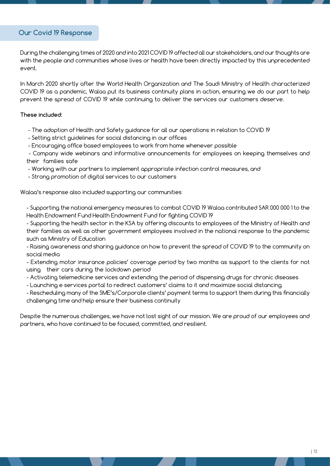### **Our Covid 19 Response**

During the challenging times of 2020 and into 2021 COVID 19 affected all our stakeholders, and our thoughts are with the people and communities whose lives or health have been directly impacted by this unprecedented event.

In March 2020 shortly after the World Health Organization and The Saudi Ministry of Health characterized COVID 19 as a pandemic, Walaa put its business continuity plans in action, ensuring we do our part to help prevent the spread of COVID 19 while continuing to deliver the services our customers deserve.

#### **These included:**

- The adoption of Health and Safety guidance for all our operations in relation to COVID 19
- Setting strict guidelines for social distancing in our offices
- Encouraging office based employees to work from home whenever possible

 - Company wide webinars and informative announcements for employees on keeping themselves and their families safe

- Working with our partners to implement appropriate infection control measures, and
- Strong promotion of digital services to our customers

Walaa's response also included supporting our communities

- Supporting the national emergency measures to combat COVID 19 Walaa contributed SAR 000 000 1 to the Health Endowment Fund Health Endowment Fund for fighting COVID 19

- Supporting the health sector in the KSA by offering discounts to employees of the Ministry of Health and their families as well as other government employees involved in the national response to the pandemic such as Ministry of Education

- Raising awareness and sharing guidance on how to prevent the spread of COVID 19 to the community on social media

- Extending motor insurance policies' coverage period by two months as support to the clients for not using their cars during the lockdown period

- Activating telemedicine services and extending the period of dispensing drugs for chronic diseases
- Launching e services portal to redirect customers' claims to it and maximize social distancing

- Rescheduling many of the SME's/Corporate clients' payment terms to support them during this financially challenging time and help ensure their business continuity

Despite the numerous challenges, we have not lost sight of our mission. We are proud of our employees and partners, who have continued to be focused, committed, and resilient.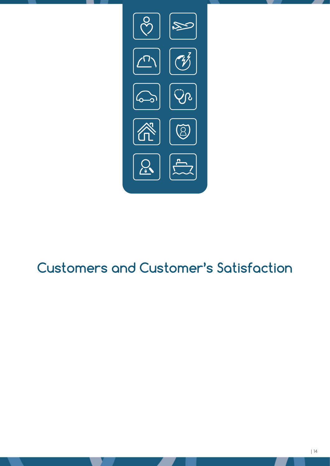

# **Customers and Customer's Satisfaction**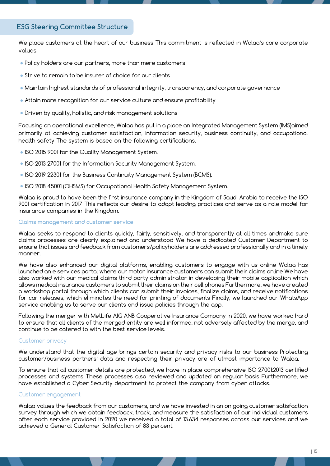## **ESG Steering Committee Structure**

We place customers at the heart of our business This commitment is reflected in Walaa's core corporate values.

- Policy holders are our partners, more than mere customers
- Strive to remain to be insurer of choice for our clients
- Maintain highest standards of professional integrity, transparency, and corporate governance
- Attain more recognition for our service culture and ensure profitability
- Driven by quality, holistic, and risk management solutions

Focusing on operational excellence, Walaa has put in a place an Integrated Management System (IMS)aimed primarily at achieving customer satisfaction, information security, business continuity, and occupational health safety The system is based on the following certifications.

- ISO 2015 9001 for the Quality Management System.
- ISO 2013 27001 for the Information Security Management System.
- ISO 2019 22301 for the Business Continuity Management System (BCMS).
- ISO 2018 45001 (OHSMS) for Occupational Health Safety Management System.

Walaa is proud to have been the first insurance company in the Kingdom of Saudi Arabia to receive the ISO 9001 certification in 2017 This reflects our desire to adopt leading practices and serve as a role model for insurance companies in the Kingdom.

#### **Claims management and customer service**

Walaa seeks to respond to clients quickly, fairly, sensitively, and transparently at all times andmake sure claims processes are clearly explained and understood We have a dedicated Customer Department to ensure that issues and feedback from customers/policyholders are addressed professionally and in a timely manner.

We have also enhanced our digital platforms, enabling customers to engage with us online Walaa has launched an e services portal where our motor insurance customers can submit their claims online We have also worked with our medical claims third party administrator in developing their mobile application which allows medical insurance customers to submit their claims on their cell phones Furthermore, we have created a workshop portal through which clients can submit their invoices, finalize claims, and receive notifications for car releases, which eliminates the need for printing of documents Finally, we launched our WhatsApp service enabling us to serve our clients and issue policies through the app.

Following the merger with MetLife AIG ANB Cooperative Insurance Company in 2020, we have worked hard to ensure that all clients of the merged entity are well informed, not adversely affected by the merge, and continue to be catered to with the best service levels.

#### Customer privacy

We understand that the digital age brings certain security and privacy risks to our business Protecting customer/business partners' data and respecting their privacy are of utmost importance to Walaa.

To ensure that all customer details are protected, we have in place comprehensive ISO 27001:2013 certified processes and systems These processes also reviewed and updated on regular basis Furthermore, we have established a Cyber Security department to protect the company from cyber attacks.

#### Customer engagement

Walaa values the feedback from our customers, and we have invested in an on going customer satisfaction survey through which we obtain feedback, track, and measure the satisfaction of our individual customers after each service provided In 2020 we received a total of 13.634 responses across our services and we achieved a General Customer Satisfaction of 83 percent.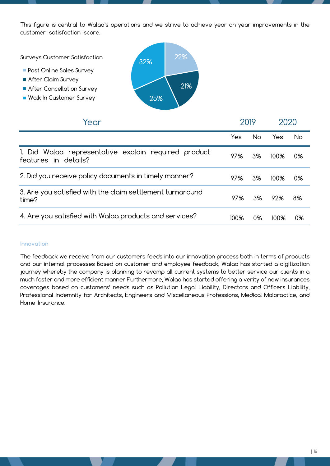This figure is central to Walaa's operations and we strive to achieve year on year improvements in the customer satisfaction score.

Surveys Customer Satisfaction

- **Post Online Sales Survey**
- After Claim Survey
- After Cancellation Survey
- Walk In Customer Survey



| Year                                                                         |      | 2019 |      | 2020 |  |
|------------------------------------------------------------------------------|------|------|------|------|--|
|                                                                              | Yes. | No.  | Yes  | No.  |  |
| 1. Did Walaa representative explain required product<br>features in details? | 97%  | 3%   | 100% | 0%   |  |
| 2. Did you receive policy documents in timely manner?                        | 97%  | 3%   | 100% | 0%   |  |
| 3. Are you satisfied with the claim settlement turnaround<br>time?           | 97%  | 3%   | 92%  | 8%   |  |
| 4. Are you satisfied with Walaa products and services?                       | 100% | 0%   | 100% | 0%   |  |

#### **Innovation**

The feedback we receive from our customers feeds into our innovation process both in terms of products and our internal processes Based on customer and employee feedback, Walaa has started a digitization journey whereby the company is planning to revamp all current systems to better service our clients in a much faster and more efficient manner Furthermore, Walaa has started offering a verity of new insurances coverages based on customers' needs such as Pollution Legal Liability, Directors and Officers Liability, Professional Indemnity for Architects, Engineers and Miscellaneous Professions, Medical Malpractice, and Home Insurance.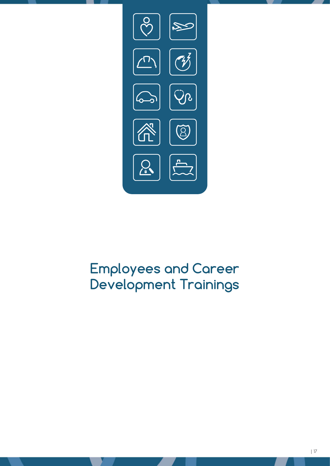

# **Employees and Career Development Trainings**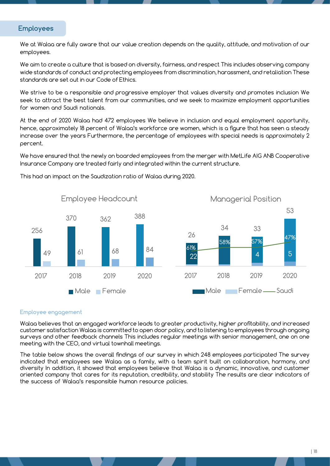### **Employees**

We at Walaa are fully aware that our value creation depends on the quality, attitude, and motivation of our employees.

We aim to create a culture that is based on diversity, fairness, and respect This includes observing company wide standards of conduct and protecting employees from discrimination, harassment, and retaliation These standards are set out in our Code of Ethics.

We strive to be a responsible and progressive employer that values diversity and promotes inclusion We seek to attract the best talent from our communities, and we seek to maximize employment opportunities for women and Saudi nationals.

At the end of 2020 Walaa had 472 employees We believe in inclusion and equal employment opportunity, hence, approximately 18 percent of Walaa's workforce are women, which is a figure that has seen a steady increase over the years Furthermore, the percentage of employees with special needs is approximately 2 percent.

We have ensured that the newly on boarded employees from the merger with MetLife AIG ANB Cooperative Insurance Company are treated fairly and integrated within the current structure.



This had an impact on the Saudization ratio of Walaa during 2020.

#### **Employee engagement**

Walaa believes that an engaged workforce leads to greater productivity, higher profitability, and increased customer satisfaction Walaa is committed to open door policy, and to listening to employees through ongoing surveys and other feedback channels This includes regular meetings with senior management, one on one meeting with the CEO, and virtual townhall meetings.

The table below shows the overall findings of our survey in which 248 employees participated The survey indicated that employees see Walaa as a family, with a team spirit built on collaboration, harmony, and diversity In addition, it showed that employees believe that Walaa is a dynamic, innovative, and customer oriented company that cares for its reputation, credibility, and stability The results are clear indicators of the success of Walaa's responsible human resource policies.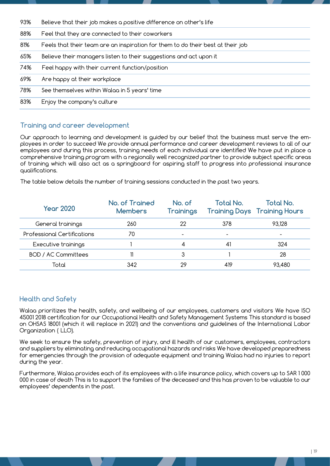| 93% | Believe that their job makes a positive difference on other's life              |
|-----|---------------------------------------------------------------------------------|
| 88% | Feel that they are connected to their coworkers                                 |
| 81% | Feels that their team are an inspiration for them to do their best at their job |
| 65% | Believe their managers listen to their suggestions and act upon it              |
| 74% | Feel happy with their current function/position                                 |
| 69% | Are happy at their workplace                                                    |
| 78% | See themselves within Walaa in 5 years' time                                    |
| 83% | Enjoy the company's culture                                                     |
|     |                                                                                 |

## **Training and career development**

Our approach to learning and development is guided by our belief that the business must serve the employees in order to succeed We provide annual performance and career development reviews to all of our employees and during this process, training needs of each individual are identified We have put in place a comprehensive training program with a regionally well recognized partner to provide subject specific areas of training which will also act as a springboard for aspiring staff to progress into professional insurance qualifications.

The table below details the number of training sessions conducted in the past two years.

| <b>Year 2020</b>            | No. of Trained<br><b>Members</b> | No. of<br><b>Trainings</b> | Total No. | <b>Total No.</b><br><b>Training Days Training Hours</b> |
|-----------------------------|----------------------------------|----------------------------|-----------|---------------------------------------------------------|
| General trainings           | 260                              | 22                         | 378       | 93,128                                                  |
| Professional Certifications | 70                               |                            | -         |                                                         |
| Executive trainings         |                                  | 4                          | 41        | 324                                                     |
| <b>BOD / AC Committees</b>  |                                  | 3                          |           | 28                                                      |
| Total                       | 342                              | 29                         | 419       | 93,480                                                  |

## **Health and Safety**

Walaa prioritizes the health, safety, and wellbeing of our employees, customers and visitors We have ISO 45001 2018 certification for our Occupational Health and Safety Management Systems This standard is based on OHSAS 18001 (which it will replace in 2021) and the conventions and guidelines of the International Labor Organization ( LLO).

We seek to ensure the safety, prevention of injury, and ill health of our customers, employees, contractors and suppliers by eliminating and reducing occupational hazards and risks We have developed preparedness for emergencies through the provision of adequate equipment and training Walaa had no injuries to report during the year.

Furthermore, Walaa provides each of its employees with a life insurance policy, which covers up to SAR 1 000 000 in case of death This is to support the families of the deceased and this has proven to be valuable to our employees' dependents in the past.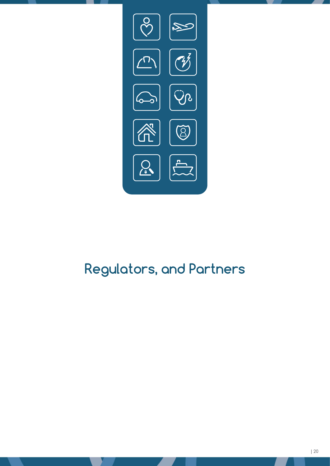

# **Regulators, and Partners**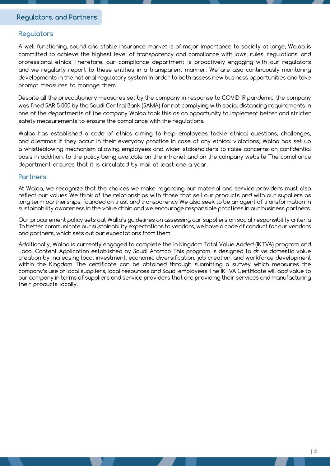### **Regulators**

A well functioning, sound and stable insurance market is of major importance to society at large, Walaa is committed to achieve the highest level of transparency and compliance with laws, rules, regulations, and professional ethics Therefore, our compliance department is proactively engaging with our regulators and we regularly report to these entities in a transparent manner. We are also continuously monitoring developments in the national regulatory system in order to both assess new business opportunities and take prompt measures to manage them.

Despite all the precautionary measures set by the company in response to COVID 19 pandemic, the company was fined SAR 5 000 by the Saudi Central Bank (SAMA) for not complying with social distancing requirements in one of the departments of the company Walaa took this as an opportunity to implement better and stricter safety measurements to ensure the compliance with the regulations.

Walaa has established a code of ethics aiming to help employees tackle ethical questions, challenges, and dilemmas if they occur in their everyday practice In case of any ethical violations, Walaa has set up a whistleblowing mechanism allowing employees and wider stakeholders to raise concerns on confidential basis In addition, to the policy being available on the intranet and on the company website The compliance department ensures that it is circulated by mail at least one a year.

#### **Partners**

At Walaa, we recognize that the choices we make regarding our material and service providers must also reflect our values We think of the relationships with those that sell our products and with our suppliers as long term partnerships, founded on trust and transparency We also seek to be an agent of transformation in sustainability awareness in the value chain and we encourage responsible practices in our business partners.

Our procurement policy sets out Walla's guidelines on assessing our suppliers on social responsibility criteria To better communicate our sustainability expectations to vendors, we have a code of conduct for our vendors and partners, which sets out our expectations from them.

Additionally, Walaa is currently engaged to complete the In Kingdom Total Value Added (IKTVA) program and Local Content Application established by Saudi Aramco This program is designed to drive domestic value creation by increasing local investment, economic diversification, job creation, and workforce development within the Kingdom The certificate can be obtained through submitting a survey which measures the company's use of local suppliers, local resources and Saudi employees The IKTVA Certificate will add value to our company in terms of suppliers and service providers that are providing their services and manufacturing their products locally.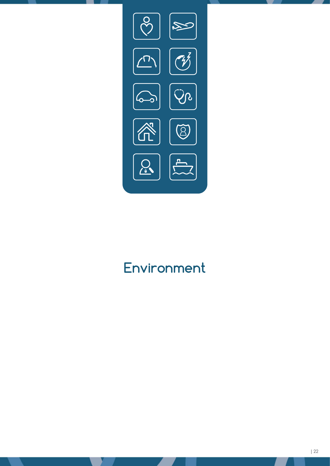

# **Environment**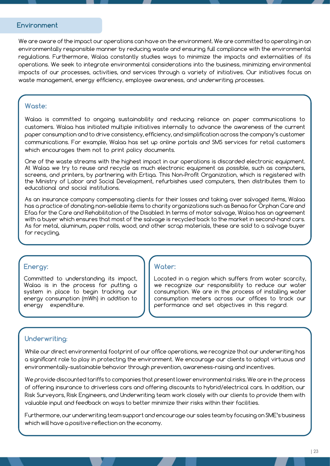#### **Environment**

We are aware of the impact our operations can have on the environment. We are committed to operating in an environmentally responsible manner by reducing waste and ensuring full compliance with the environmental regulations. Furthermore, Walaa constantly studies ways to minimize the impacts and externalities of its operations. We seek to integrate environmental considerations into the business, minimizing environmental impacts of our processes, activities, and services through a variety of initiatives. Our initiatives focus on waste management, energy efficiency, employee awareness, and underwriting processes.

### **Waste:**

Walaa is committed to ongoing sustainability and reducing reliance on paper communications to customers. Walaa has initiated multiple initiatives internally to advance the awareness of the current paper consumption and to drive consistency, efficiency, and simplification across the company's customer communications. For example, Walaa has set up online portals and SMS services for retail customers which encourages them not to print policy documents.

One of the waste streams with the highest impact in our operations is discarded electronic equipment. At Walaa we try to reuse and recycle as much electronic equipment as possible, such as computers, screens, and printers, by partnering with Ertiqa. This Non-Profit Organization, which is registered with the Ministry of Labor and Social Development, refurbishes used computers, then distributes them to educational and social institutions.

As an insurance company compensating clients for their losses and taking over salvaged items, Walaa has a practice of donating non-sellable items to charity organizations such as Benaa for Orphan Care and Efaa for the Care and Rehabilitation of the Disabled. In terms of motor salvage, Walaa has an agreement with a buyer which ensures that most of the salvage is recycled back to the market in second-hand cars. As for metal, aluminum, paper rolls, wood, and other scrap materials, these are sold to a salvage buyer for recycling.

#### **Energy:**

Committed to understanding its impact, Walaa is in the process for putting a system in place to begin tracking our energy consumption (mWh) in addition to energy expenditure.

### **Water:**

Located in a region which suffers from water scarcity, we recognize our responsibility to reduce our water consumption. We are in the process of installing water consumption meters across our offices to track our performance and set objectives in this regard.

### **Underwriting:**

While our direct environmental footprint of our office operations, we recognize that our underwriting has a significant role to play in protecting the environment. We encourage our clients to adopt virtuous and environmentally-sustainable behavior through prevention, awareness-raising and incentives.

We provide discounted tariffs to companies that present lower environmental risks. We are in the process of offering insurance to driverless cars and offering discounts to hybrid/electrical cars. In addition, our Risk Surveyors, Risk Engineers, and Underwriting team work closely with our clients to provide them with valuable input and feedback on ways to better minimize their risks within their facilities.

Furthermore, our underwriting team support and encourage our sales team by focusing on SME's business which will have a positive reflection on the economy.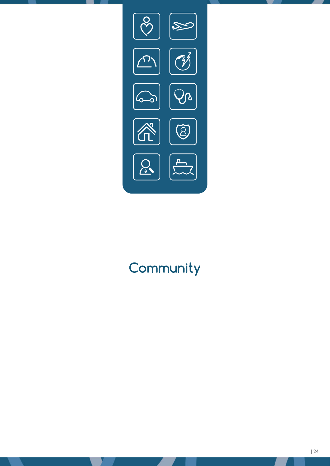

# **Community**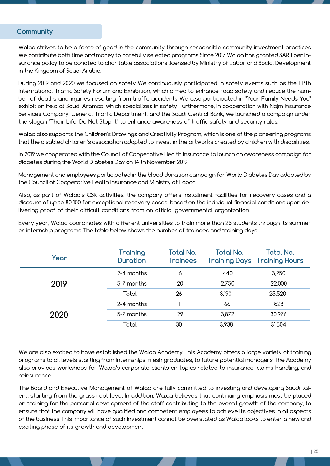### **Community**

Walaa strives to be a force of good in the community through responsible community investment practices We contribute both time and money to carefully selected programs Since 2017 Walaa has granted SAR 1 per insurance policy to be donated to charitable associations licensed by Ministry of Labor and Social Development in the Kingdom of Saudi Arabia.

During 2019 and 2020 we focused on safety We continuously participated in safety events such as the Fifth International Traffic Safety Forum and Exhibition, which aimed to enhance road safety and reduce the number of deaths and injuries resulting from traffic accidents We also participated in "Your Family Needs You" exhibition held at Saudi Aramco, which specializes in safety Furthermore, in cooperation with Najm Insurance Services Company, General Traffic Department, and the Saudi Central Bank, we launched a campaign under the slogan "Their Life, Do Not Stop it" to enhance awareness of traffic safety and security rules.

Walaa also supports the Children's Drawings and Creativity Program, which is one of the pioneering programs that the disabled children's association adopted to invest in the artworks created by children with disabilities.

In 2019 we cooperated with the Council of Cooperative Health Insurance to launch an awareness campaign for diabetes during the World Diabetes Day on 14 th November 2019.

Management and employees participated in the blood donation campaign for World Diabetes Day adopted by the Council of Cooperative Health Insurance and Ministry of Labor.

Also, as part of Walaa's CSR activities, the company offers installment facilities for recovery cases and a discount of up to 80 100 for exceptional recovery cases, based on the individual financial conditions upon delivering proof of their difficult conditions from an official governmental organization.

Every year, Walaa coordinates with different universities to train more than 25 students through its summer or internship programs The table below shows the number of trainees and training days.

| Year | <b>Training</b><br><b>Duration</b> | <b>Total No.</b><br><b>Trainees</b> | <b>Total No.</b> | <b>Total No.</b><br><b>Training Days Training Hours</b> |
|------|------------------------------------|-------------------------------------|------------------|---------------------------------------------------------|
|      | 2-4 months                         | 6                                   | 440              | 3,250                                                   |
| 2019 | 5-7 months                         | 20                                  | 2,750            | 22,000                                                  |
|      | Total                              | 26                                  | 3,190            | 25,520                                                  |
|      | 2-4 months                         |                                     | 66               | 528                                                     |
| 2020 | 5-7 months                         | 29                                  | 3,872            | 30,976                                                  |
|      | Total                              | 30                                  | 3,938            | 31,504                                                  |

We are also excited to have established the Walaa Academy This Academy offers a large variety of training programs to all levels starting from internships, fresh graduates, to future potential managers The Academy also provides workshops for Walaa's corporate clients on topics related to insurance, claims handling, and reinsurance.

The Board and Executive Management of Walaa are fully committed to investing and developing Saudi talent, starting from the grass root level In addition, Walaa believes that continuing emphasis must be placed on training for the personal development of the staff contributing to the overall growth of the company, to ensure that the company will have qualified and competent employees to achieve its objectives in all aspects of the business This importance of such investment cannot be overstated as Walaa looks to enter a new and exciting phase of its growth and development.